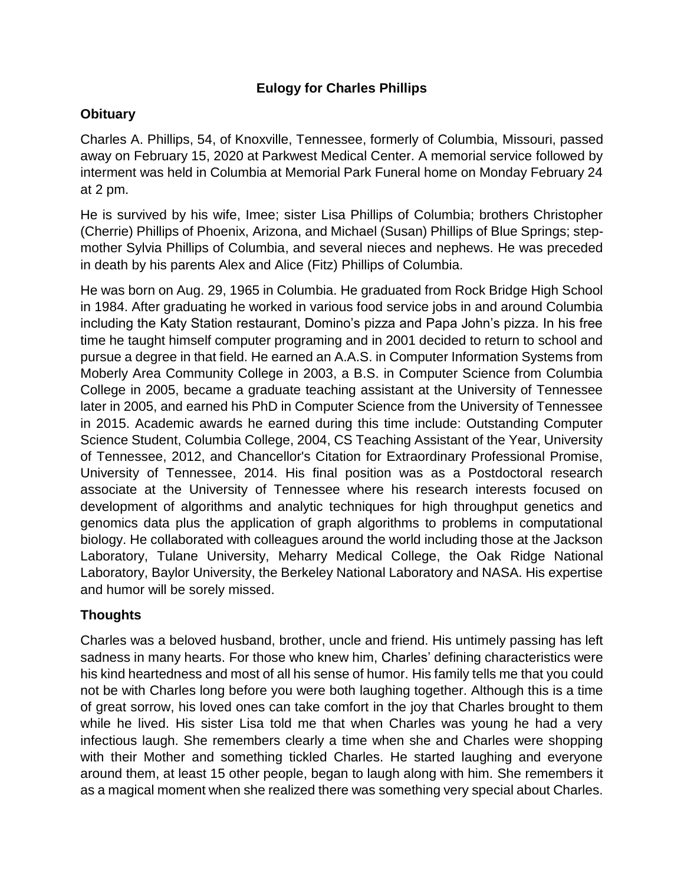## **Eulogy for Charles Phillips**

## **Obituary**

Charles A. Phillips, 54, of Knoxville, Tennessee, formerly of Columbia, Missouri, passed away on February 15, 2020 at Parkwest Medical Center. A memorial service followed by interment was held in Columbia at Memorial Park Funeral home on Monday February 24 at 2 pm.

He is survived by his wife, Imee; sister Lisa Phillips of Columbia; brothers Christopher (Cherrie) Phillips of Phoenix, Arizona, and Michael (Susan) Phillips of Blue Springs; stepmother Sylvia Phillips of Columbia, and several nieces and nephews. He was preceded in death by his parents Alex and Alice (Fitz) Phillips of Columbia.

He was born on Aug. 29, 1965 in Columbia. He graduated from Rock Bridge High School in 1984. After graduating he worked in various food service jobs in and around Columbia including the Katy Station restaurant, Domino's pizza and Papa John's pizza. In his free time he taught himself computer programing and in 2001 decided to return to school and pursue a degree in that field. He earned an A.A.S. in Computer Information Systems from Moberly Area Community College in 2003, a B.S. in Computer Science from Columbia College in 2005, became a graduate teaching assistant at the University of Tennessee later in 2005, and earned his PhD in Computer Science from the University of Tennessee in 2015. Academic awards he earned during this time include: Outstanding Computer Science Student, Columbia College, 2004, CS Teaching Assistant of the Year, University of Tennessee, 2012, and Chancellor's Citation for Extraordinary Professional Promise, University of Tennessee, 2014. His final position was as a Postdoctoral research associate at the University of Tennessee where his research interests focused on development of algorithms and analytic techniques for high throughput genetics and genomics data plus the application of graph algorithms to problems in computational biology. He collaborated with colleagues around the world including those at the Jackson Laboratory, Tulane University, Meharry Medical College, the Oak Ridge National Laboratory, Baylor University, the Berkeley National Laboratory and NASA. His expertise and humor will be sorely missed.

## **Thoughts**

Charles was a beloved husband, brother, uncle and friend. His untimely passing has left sadness in many hearts. For those who knew him, Charles' defining characteristics were his kind heartedness and most of all his sense of humor. His family tells me that you could not be with Charles long before you were both laughing together. Although this is a time of great sorrow, his loved ones can take comfort in the joy that Charles brought to them while he lived. His sister Lisa told me that when Charles was young he had a very infectious laugh. She remembers clearly a time when she and Charles were shopping with their Mother and something tickled Charles. He started laughing and everyone around them, at least 15 other people, began to laugh along with him. She remembers it as a magical moment when she realized there was something very special about Charles.